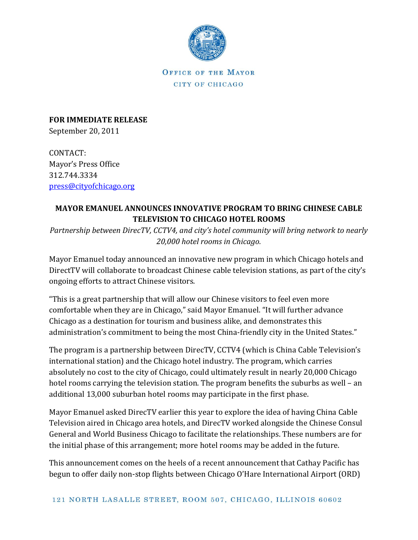

OFFICE OF THE MAYOR CITY OF CHICAGO

**FOR IMMEDIATE RELEASE** September 20, 2011

CONTACT: Mayor's Press Office 312.744.3334 [press@cityofchicago.org](mailto:press@cityofchicago.org)

## **MAYOR EMANUEL ANNOUNCES INNOVATIVE PROGRAM TO BRING CHINESE CABLE TELEVISION TO CHICAGO HOTEL ROOMS**

*Partnership between DirecTV, CCTV4, and city's hotel community will bring network to nearly 20,000 hotel rooms in Chicago.*

Mayor Emanuel today announced an innovative new program in which Chicago hotels and DirectTV will collaborate to broadcast Chinese cable television stations, as part of the city's ongoing efforts to attract Chinese visitors.

"This is a great partnership that will allow our Chinese visitors to feel even more comfortable when they are in Chicago," said Mayor Emanuel. "It will further advance Chicago as a destination for tourism and business alike, and demonstrates this administration's commitment to being the most China-friendly city in the United States."

The program is a partnership between DirecTV, CCTV4 (which is China Cable Television's international station) and the Chicago hotel industry. The program, which carries absolutely no cost to the city of Chicago, could ultimately result in nearly 20,000 Chicago hotel rooms carrying the television station. The program benefits the suburbs as well – an additional 13,000 suburban hotel rooms may participate in the first phase.

Mayor Emanuel asked DirecTV earlier this year to explore the idea of having China Cable Television aired in Chicago area hotels, and DirecTV worked alongside the Chinese Consul General and World Business Chicago to facilitate the relationships. These numbers are for the initial phase of this arrangement; more hotel rooms may be added in the future.

This announcement comes on the heels of a recent announcement that Cathay Pacific has begun to offer daily non-stop flights between Chicago O'Hare International Airport (ORD)